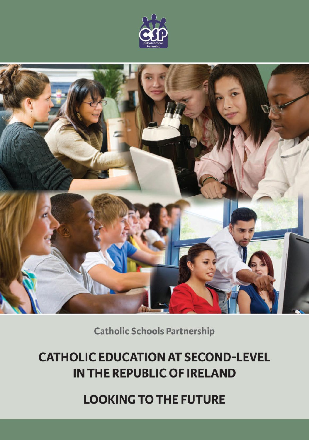



**Catholic Schools Partnership** 

# **CATHOLIC EDUCATION AT SECOND-LEVEL** IN THE REPUBLIC OF IRELAND

**LOOKING TO THE FUTURE**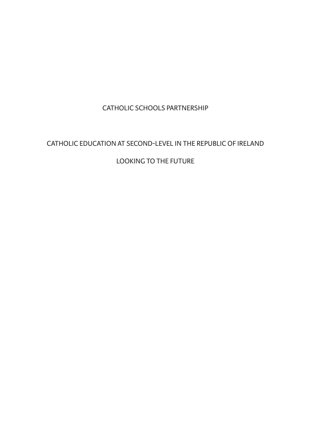CatholiC SChoolS PartnerShiP

## CatholiC eduCation at SeCond-level in the rePubliC of ireland

### looking to the future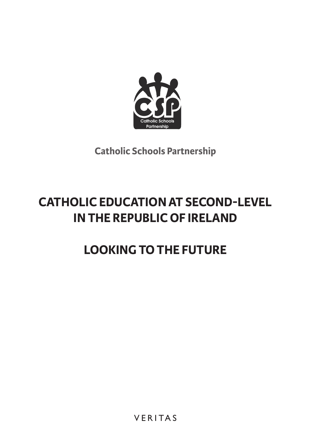

**Catholic Schools Partnership**

# **CATHOLIC EDUCATIONAT SECOND-LEVEL IN THE REPUBLIC OF IRELAND**

# **LOOKING TOTHE FUTURE**

**VERITAS**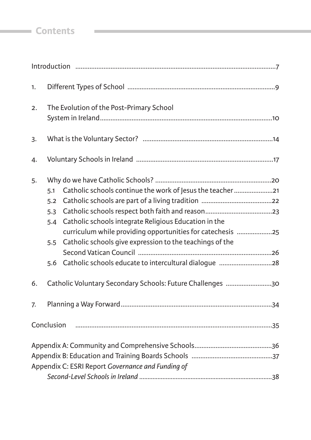# **Contents Contents**

| 1. |                                                                                                                                                                                                                                                                                         |  |  |  |  |
|----|-----------------------------------------------------------------------------------------------------------------------------------------------------------------------------------------------------------------------------------------------------------------------------------------|--|--|--|--|
| 2. | The Evolution of the Post-Primary School                                                                                                                                                                                                                                                |  |  |  |  |
| 3. |                                                                                                                                                                                                                                                                                         |  |  |  |  |
| 4. |                                                                                                                                                                                                                                                                                         |  |  |  |  |
| 5. | Catholic schools continue the work of Jesus the teacher 21<br>5.1<br>5.2<br>5.3<br>Catholic schools integrate Religious Education in the<br>5.4<br>curriculum while providing opportunities for catechesis 25<br>Catholic schools give expression to the teachings of the<br>5.5<br>5.6 |  |  |  |  |
| 6. | Catholic Voluntary Secondary Schools: Future Challenges 30                                                                                                                                                                                                                              |  |  |  |  |
| 7. |                                                                                                                                                                                                                                                                                         |  |  |  |  |
|    | Conclusion                                                                                                                                                                                                                                                                              |  |  |  |  |
|    | Appendix C: ESRI Report Governance and Funding of                                                                                                                                                                                                                                       |  |  |  |  |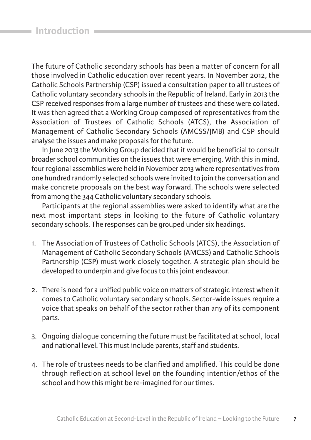The future of Catholic secondary schools has been a matter of concern for all those involved in Catholic education over recent years. in november 2012, the Catholic Schools Partnership (CSP) issued a consultation paper to all trustees of Catholic voluntary secondary schools in the Republic of Ireland. Early in 2013 the CSP received responses from a large number of trustees and these were collated. It was then agreed that a Working Group composed of representatives from the Association of Trustees of Catholic Schools (ATCS), the Association of Management of Catholic Secondary Schools (aMCSS/JMb) and CSP should analyse the issues and make proposals for the future.

in June 2013 the Working group decided that it would be beneficial to consult broader school communities on the issues that were emerging. With this in mind, four regional assemblies were held in november 2013 where representatives from one hundred randomly selected schools were invited to join the conversation and make concrete proposals on the best way forward. The schools were selected from among the 344 Catholic voluntary secondary schools.

Participants at the regional assemblies were asked to identify what are the next most important steps in looking to the future of Catholic voluntary secondary schools. The responses can be grouped under six headings.

- 1. The Association of Trustees of Catholic Schools (ATCS), the Association of Management of Catholic Secondary Schools (aMCSS) and Catholic Schools Partnership (CSP) must work closely together. a strategic plan should be developed to underpin and give focus to this joint endeavour.
- 2. there is need for a unified public voice on matters of strategic interest when it comes to Catholic voluntary secondary schools. Sector-wide issues require a voice that speaks on behalf of the sector rather than any of its component parts.
- 3. ongoing dialogue concerning the future must be facilitated at school, local and national level. This must include parents, staff and students.
- 4. the role of trustees needs to be clarified and amplified. this could be done through reflection at school level on the founding intention/ethos of the school and how this might be re-imagined for our times.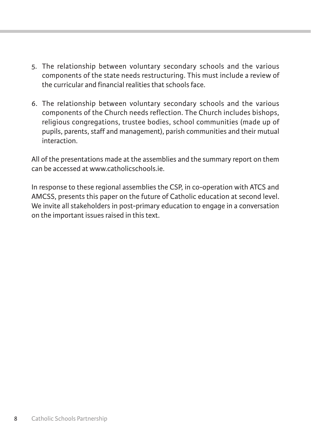- 5. the relationship between voluntary secondary schools and the various components of the state needs restructuring. This must include a review of the curricular and financial realities that schools face.
- 6. the relationship between voluntary secondary schools and the various components of the Church needs reflection. The Church includes bishops, religious congregations, trustee bodies, school communities (made up of pupils, parents, staff and management), parish communities and their mutual interaction.

all of the presentations made at the assemblies and the summary report on them can be accessed at www.catholicschools.ie.

In response to these regional assemblies the CSP, in co-operation with ATCS and aMCSS, presents this paper on the future of Catholic education at second level. We invite all stakeholders in post-primary education to engage in a conversation on the important issues raised in this text.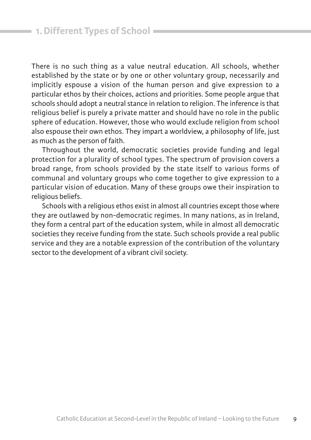there is no such thing as a value neutral education. all schools, whether established by the state or by one or other voluntary group, necessarily and implicitly espouse a vision of the human person and give expression to a particular ethos by their choices, actions and priorities. Some people argue that schools should adopt a neutral stance in relation to religion. The inference is that religious belief is purely a private matter and should have no role in the public sphere of education. however, those who would exclude religion from school also espouse their own ethos. They impart a worldview, a philosophy of life, just as much as the person of faith.

throughout the world, democratic societies provide funding and legal protection for a plurality of school types. The spectrum of provision covers a broad range, from schools provided by the state itself to various forms of communal and voluntary groups who come together to give expression to a particular vision of education. Many of these groups owe their inspiration to religious beliefs.

Schools with a religious ethos exist in almost all countries except those where they are outlawed by non-democratic regimes. in many nations, as in ireland, they form a central part of the education system, while in almost all democratic societies they receive funding from the state. Such schools provide a real public service and they are a notable expression of the contribution of the voluntary sector to the development of a vibrant civil society.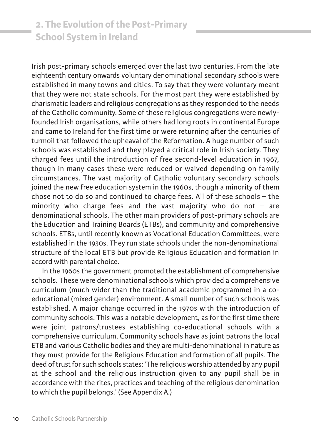# **2. The Evolution of the Post-Primary School System in Ireland**

irish post-primary schools emerged over the last two centuries. from the late eighteenth century onwards voluntary denominational secondary schools were established in many towns and cities. To say that they were voluntary meant that they were not state schools. for the most part they were established by charismatic leaders and religious congregations as they responded to the needs of the Catholic community. Some of these religious congregations were newlyfounded Irish organisations, while others had long roots in continental Europe and came to ireland for the first time or were returning after the centuries of turmoil that followed the upheaval of the Reformation. A huge number of such schools was established and they played a critical role in Irish society. They charged fees until the introduction of free second-level education in 1967, though in many cases these were reduced or waived depending on family circumstances. the vast majority of Catholic voluntary secondary schools joined the new free education system in the 1960s, though a minority of them chose not to do so and continued to charge fees. all of these schools – the minority who charge fees and the vast majority who do not  $-$  are denominational schools. The other main providers of post-primary schools are the Education and Training Boards (ETBs), and community and comprehensive schools. ETBs, until recently known as Vocational Education Committees, were established in the 1930s. They run state schools under the non-denominational structure of the local ETB but provide Religious Education and formation in accord with parental choice.

in the 1960s the government promoted the establishment of comprehensive schools. These were denominational schools which provided a comprehensive curriculum (much wider than the traditional academic programme) in a coeducational (mixed gender) environment. A small number of such schools was established. A major change occurred in the 1970s with the introduction of community schools. This was a notable development, as for the first time there were joint patrons/trustees establishing co-educational schools with a comprehensive curriculum. Community schools have as joint patrons the local ETB and various Catholic bodies and they are multi-denominational in nature as they must provide for the Religious Education and formation of all pupils. The deed of trust for such schools states: 'The religious worship attended by any pupil at the school and the religious instruction given to any pupil shall be in accordance with the rites, practices and teaching of the religious denomination to which the pupil belongs.' (See Appendix A.)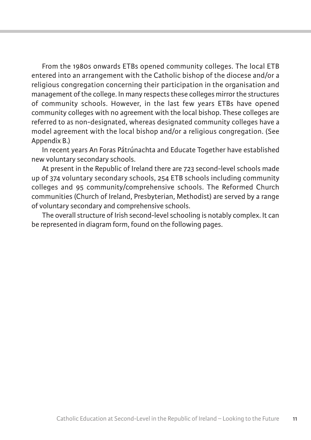From the 1980s onwards ETBs opened community colleges. The local ETB entered into an arrangement with the Catholic bishop of the diocese and/or a religious congregation concerning their participation in the organisation and management of the college. in many respects these colleges mirror the structures of community schools. However, in the last few years ETBs have opened community colleges with no agreement with the local bishop. These colleges are referred to as non-designated, whereas designated community colleges have a model agreement with the local bishop and/or a religious congregation. (See Appendix B.)

In recent years An Foras Pátrúnachta and Educate Together have established new voluntary secondary schools.

At present in the Republic of Ireland there are 723 second-level schools made up of 374 voluntary secondary schools, 254 ETB schools including community colleges and 95 community/comprehensive schools. The Reformed Church communities (Church of ireland, Presbyterian, Methodist) are served by a range of voluntary secondary and comprehensive schools.

The overall structure of Irish second-level schooling is notably complex. It can be represented in diagram form, found on the following pages.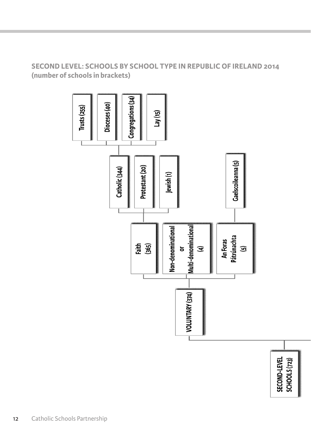# **SECOND LEVEL: SCHOOLS BY SCHOOL TYPE IN REPUBLIC OF IRELAND 2014 (number of schools in brackets)**



12 Catholic Schools Partnership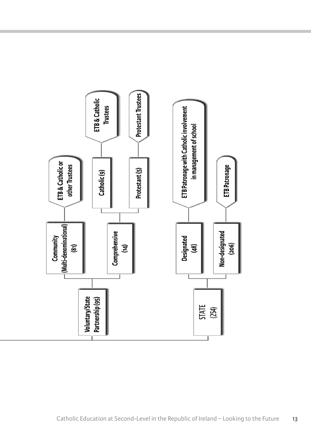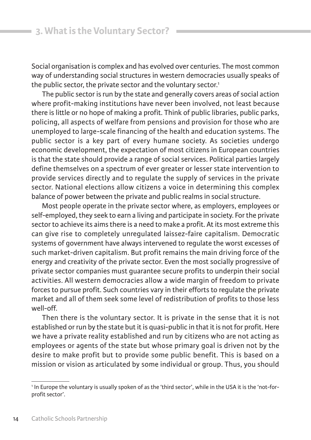Social organisation is complex and has evolved over centuries. The most common way of understanding social structures in western democracies usually speaks of the public sector, the private sector and the voluntary sector.<sup>1</sup>

the public sector is run by the state and generally covers areas of social action where profit-making institutions have never been involved, not least because there is little or no hope of making a profit. Think of public libraries, public parks, policing, all aspects of welfare from pensions and provision for those who are unemployed to large-scale financing of the health and education systems. the public sector is a key part of every humane society. As societies undergo economic development, the expectation of most citizens in European countries is that the state should provide a range of social services. Political parties largely define themselves on a spectrum of ever greater or lesser state intervention to provide services directly and to regulate the supply of services in the private sector. National elections allow citizens a voice in determining this complex balance of power between the private and public realms in social structure.

Most people operate in the private sector where, as employers, employees or self-employed, they seek to earn a living and participate in society. for the private sector to achieve its aims there is a need to make a profit. At its most extreme this can give rise to completely unregulated laissez-faire capitalism. Democratic systems of government have always intervened to regulate the worst excesses of such market-driven capitalism. But profit remains the main driving force of the energy and creativity of the private sector. Even the most socially progressive of private sector companies must guarantee secure profits to underpin their social activities. all western democracies allow a wide margin of freedom to private forces to pursue profit. Such countries vary in their efforts to regulate the private market and all of them seek some level of redistribution of profits to those less well-off.

Then there is the voluntary sector. It is private in the sense that it is not established or run by the state but it is quasi-public in that it is not for profit. here we have a private reality established and run by citizens who are not acting as employees or agents of the state but whose primary goal is driven not by the desire to make profit but to provide some public benefit. This is based on a mission or vision as articulated by some individual or group. Thus, you should

<sup>&</sup>lt;sup>1</sup> In Europe the voluntary is usually spoken of as the 'third sector', while in the USA it is the 'not-forprofit sector'.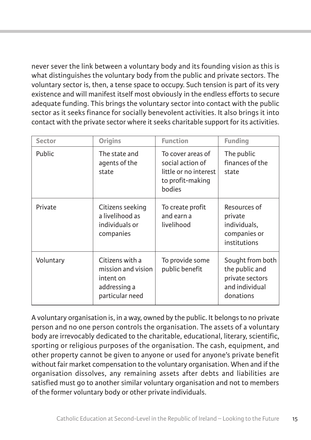never sever the link between a voluntary body and its founding vision as this is what distinguishes the voluntary body from the public and private sectors. The voluntary sector is, then, a tense space to occupy. Such tension is part of its very existence and will manifest itself most obviously in the endless efforts to secure adequate funding. This brings the voluntary sector into contact with the public sector as it seeks finance for socially benevolent activities. it also brings it into contact with the private sector where it seeks charitable support for its activities.

| Sector    | <b>Origins</b>                                                                        | <b>Function</b>                                                                              | <b>Funding</b>                                                                       |
|-----------|---------------------------------------------------------------------------------------|----------------------------------------------------------------------------------------------|--------------------------------------------------------------------------------------|
| Public    | The state and<br>agents of the<br>state                                               | To cover areas of<br>social action of<br>little or no interest<br>to profit-making<br>bodies | The public<br>finances of the<br>state                                               |
| Private   | Citizens seeking<br>a livelihood as<br>individuals or<br>companies                    | To create profit<br>and earn a<br>livelihood                                                 | Resources of<br>private<br>individuals,<br>companies or<br>institutions              |
| Voluntary | Citizens with a<br>mission and vision<br>intent on<br>addressing a<br>particular need | To provide some<br>public benefit                                                            | Sought from both<br>the public and<br>private sectors<br>and individual<br>donations |

a voluntary organisation is, in a way, owned by the public. it belongs to no private person and no one person controls the organisation. The assets of a voluntary body are irrevocably dedicated to the charitable, educational, literary, scientific, sporting or religious purposes of the organisation. The cash, equipment, and other property cannot be given to anyone or used for anyone's private benefit without fair market compensation to the voluntary organisation. When and if the organisation dissolves, any remaining assets after debts and liabilities are satisfied must go to another similar voluntary organisation and not to members of the former voluntary body or other private individuals.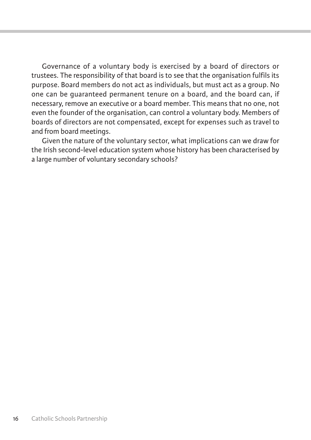Governance of a voluntary body is exercised by a board of directors or trustees. the responsibility of that board is to see that the organisation fulfils its purpose. board members do not act as individuals, but must act as a group. no one can be guaranteed permanent tenure on a board, and the board can, if necessary, remove an executive or a board member. this means that no one, not even the founder of the organisation, can control a voluntary body. Members of boards of directors are not compensated, except for expenses such as travel to and from board meetings.

Given the nature of the voluntary sector, what implications can we draw for the irish second-level education system whose history has been characterised by a large number of voluntary secondary schools?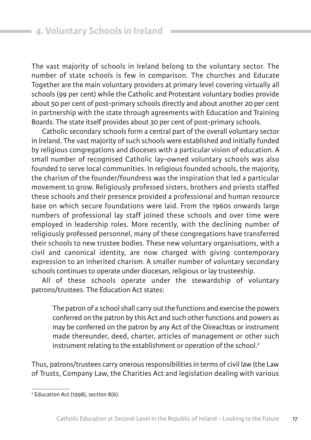The vast majority of schools in Ireland belong to the voluntary sector. The number of state schools is few in comparison. The churches and Educate together are the main voluntary providers at primary level covering virtually all schools (99 per cent) while the Catholic and Protestant voluntary bodies provide about 50 per cent of post-primary schools directly and about another 20 per cent in partnership with the state through agreements with Education and Training Boards. The state itself provides about 30 per cent of post-primary schools.

Catholic secondary schools form a central part of the overall voluntary sector in Ireland. The vast majority of such schools were established and initially funded by religious congregations and dioceses with a particular vision of education. A small number of recognised Catholic lay-owned voluntary schools was also founded to serve local communities. in religious founded schools, the majority, the charism of the founder/foundress was the inspiration that led a particular movement to grow. Religiously professed sisters, brothers and priests staffed these schools and their presence provided a professional and human resource base on which secure foundations were laid. from the 1960s onwards large numbers of professional lay staff joined these schools and over time were employed in leadership roles. More recently, with the declining number of religiously professed personnel, many of these congregations have transferred their schools to new trustee bodies. These new voluntary organisations, with a civil and canonical identity, are now charged with giving contemporary expression to an inherited charism. A smaller number of voluntary secondary schools continues to operate under diocesan, religious or lay trusteeship.

all of these schools operate under the stewardship of voluntary patrons/trustees. The Education Act states:

The patron of a school shall carry out the functions and exercise the powers conferred on the patron by this Act and such other functions and powers as may be conferred on the patron by any Act of the Oireachtas or instrument made thereunder, deed, charter, articles of management or other such instrument relating to the establishment or operation of the school.<sup>2</sup>

thus, patrons/trustees carry onerous responsibilities in terms of civil law (the law of Trusts, Company Law, the Charities Act and legislation dealing with various

<sup>&</sup>lt;sup>2</sup> Education Act (1998), section 8(6).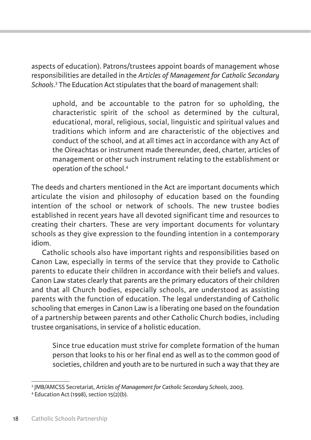aspects of education). Patrons/trustees appoint boards of management whose responsibilities are detailed in the *Articles of Management for Catholic Secondary* Schools.<sup>3</sup> The Education Act stipulates that the board of management shall:

uphold, and be accountable to the patron for so upholding, the characteristic spirit of the school as determined by the cultural, educational, moral, religious, social, linguistic and spiritual values and traditions which inform and are characteristic of the objectives and conduct of the school, and at all times act in accordance with any Act of the oireachtas or instrument made thereunder, deed, charter, articles of management or other such instrument relating to the establishment or operation of the school.4

The deeds and charters mentioned in the Act are important documents which articulate the vision and philosophy of education based on the founding intention of the school or network of schools. The new trustee bodies established in recent years have all devoted significant time and resources to creating their charters. These are very important documents for voluntary schools as they give expression to the founding intention in a contemporary idiom.

Catholic schools also have important rights and responsibilities based on Canon law, especially in terms of the service that they provide to Catholic parents to educate their children in accordance with their beliefs and values. Canon law states clearly that parents are the primary educators of their children and that all Church bodies, especially schools, are understood as assisting parents with the function of education. the legal understanding of Catholic schooling that emerges in Canon law is a liberating one based on the foundation of a partnership between parents and other Catholic Church bodies, including trustee organisations, in service of a holistic education.

Since true education must strive for complete formation of the human person that looks to his or her final end as well as to the common good of societies, children and youth are to be nurtured in such a way that they are

<sup>&</sup>lt;sup>3</sup> JMB/AMCSS Secretariat, *Articles of Management for Catholic Secondary Schools*, 2003.<br><sup>4</sup> Education Act (1998), section 15(2)(b).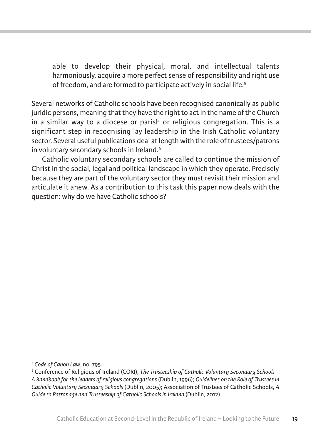able to develop their physical, moral, and intellectual talents harmoniously, acquire a more perfect sense of responsibility and right use of freedom, and are formed to participate actively in social life.5

Several networks of Catholic schools have been recognised canonically as public juridic persons, meaning that they have the right to act in the name of the Church in a similar way to a diocese or parish or religious congregation. this is a significant step in recognising lay leadership in the irish Catholic voluntary sector. Several useful publications deal at length with the role of trustees/patrons in voluntary secondary schools in Ireland.<sup>6</sup>

Catholic voluntary secondary schools are called to continue the mission of Christ in the social, legal and political landscape in which they operate. Precisely because they are part of the voluntary sector they must revisit their mission and articulate it anew. as a contribution to this task this paper now deals with the question: why do we have Catholic schools?

<sup>&</sup>lt;sup>5</sup> Code of Canon Law, no. 795.<br><sup>6</sup> Conference of Religious of Ireland (CORI), *The Trusteeship of Catholic Voluntary Secondary Schools – A handbook for the leaders of religious congregations* (dublin, 1996); *Guidelines on the Role of Trustees in Catholic Voluntary Secondary Schools* (dublin, 2005); association of trustees of Catholic Schools, *A Guide to Patronage and Trusteeship of Catholic Schools in Ireland (Dublin, 2012).*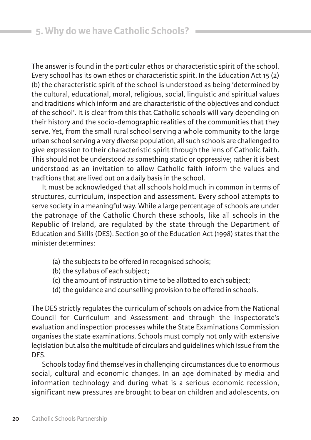The answer is found in the particular ethos or characteristic spirit of the school. Every school has its own ethos or characteristic spirit. In the Education Act 15  $(2)$ (b) the characteristic spirit of the school is understood as being 'determined by the cultural, educational, moral, religious, social, linguistic and spiritual values and traditions which inform and are characteristic of the objectives and conduct of the school'. it is clear from this that Catholic schools will vary depending on their history and the socio-demographic realities of the communities that they serve. Yet, from the small rural school serving a whole community to the large urban school serving a very diverse population, all such schools are challenged to give expression to their characteristic spirit through the lens of Catholic faith. This should not be understood as something static or oppressive; rather it is best understood as an invitation to allow Catholic faith inform the values and traditions that are lived out on a daily basis in the school.

it must be acknowledged that all schools hold much in common in terms of structures, curriculum, inspection and assessment. every school attempts to serve society in a meaningful way. While a large percentage of schools are under the patronage of the Catholic Church these schools, like all schools in the Republic of Ireland, are regulated by the state through the Department of Education and Skills (DES). Section 30 of the Education Act (1998) states that the minister determines:

- (a) the subjects to be offered in recognised schools;
- (b) the syllabus of each subject;
- (c) the amount of instruction time to be allotted to each subject;
- (d) the guidance and counselling provision to be offered in schools.

The DES strictly regulates the curriculum of schools on advice from the National Council for Curriculum and assessment and through the inspectorate's evaluation and inspection processes while the State Examinations Commission organises the state examinations. Schools must comply not only with extensive legislation but also the multitude of circulars and guidelines which issue from the DES.

Schools today find themselves in challenging circumstances due to enormous social, cultural and economic changes. in an age dominated by media and information technology and during what is a serious economic recession, significant new pressures are brought to bear on children and adolescents, on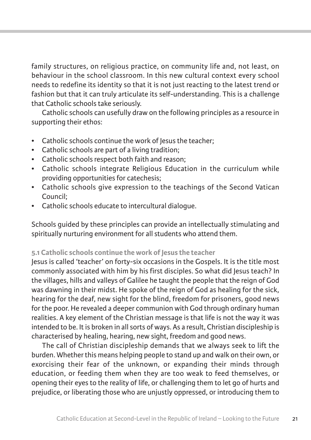family structures, on religious practice, on community life and, not least, on behaviour in the school classroom. in this new cultural context every school needs to redefine its identity so that it is not just reacting to the latest trend or fashion but that it can truly articulate its self-understanding. This is a challenge that Catholic schools take seriously.

Catholic schools can usefully draw on the following principles as a resource in supporting their ethos:

- Catholic schools continue the work of lesus the teacher:
- Catholic schools are part of a living tradition;
- Catholic schools respect both faith and reason;
- Catholic schools integrate Religious Education in the curriculum while providing opportunities for catechesis;
- Catholic schools give expression to the teachings of the Second vatican Council;
- Catholic schools educate to intercultural dialogue.

Schools guided by these principles can provide an intellectually stimulating and spiritually nurturing environment for all students who attend them.

#### **5.1 Catholic schools continue the work of Jesus the teacher**

Jesus is called 'teacher' on forty-six occasions in the gospels. it is the title most commonly associated with him by his first disciples. So what did Jesus teach? in the villages, hills and valleys of Galilee he taught the people that the reign of God was dawning in their midst. He spoke of the reign of God as healing for the sick, hearing for the deaf, new sight for the blind, freedom for prisoners, good news for the poor. He revealed a deeper communion with God through ordinary human realities. A key element of the Christian message is that life is not the way it was intended to be. It is broken in all sorts of ways. As a result, Christian discipleship is characterised by healing, hearing, new sight, freedom and good news.

The call of Christian discipleship demands that we always seek to lift the burden. Whether this means helping people to stand up and walk on their own, or exorcising their fear of the unknown, or expanding their minds through education, or feeding them when they are too weak to feed themselves, or opening their eyes to the reality of life, or challenging them to let go of hurts and prejudice, or liberating those who are unjustly oppressed, or introducing them to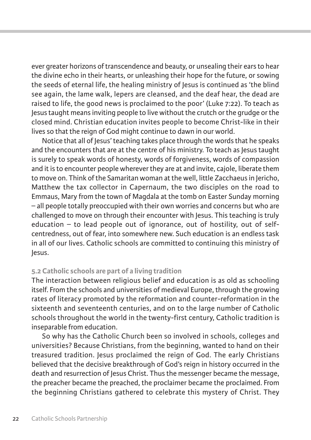ever greater horizons of transcendence and beauty, or unsealing their ears to hear the divine echo in their hearts, or unleashing their hope for the future, or sowing the seeds of eternal life, the healing ministry of Jesus is continued as 'the blind see again, the lame walk, lepers are cleansed, and the deaf hear, the dead are raised to life, the good news is proclaimed to the poor' (Luke 7:22). To teach as Jesus taught means inviting people to live without the crutch or the grudge or the closed mind. Christian education invites people to become Christ-like in their lives so that the reign of God might continue to dawn in our world.

notice that all of Jesus' teaching takes place through the words that he speaks and the encounters that are at the centre of his ministry. To teach as Jesus taught is surely to speak words of honesty, words of forgiveness, words of compassion and it is to encounter people wherever they are at and invite, cajole, liberate them to move on. Think of the Samaritan woman at the well, little Zacchaeus in Jericho, Matthew the tax collector in Capernaum, the two disciples on the road to Emmaus, Mary from the town of Magdala at the tomb on Easter Sunday morning – all people totally preoccupied with their own worries and concerns but who are challenged to move on through their encounter with Jesus. This teaching is truly education – to lead people out of ignorance, out of hostility, out of selfcentredness, out of fear, into somewhere new. Such education is an endless task in all of our lives. Catholic schools are committed to continuing this ministry of Jesus.

#### **5.2 Catholic schools are part of a living tradition**

the interaction between religious belief and education is as old as schooling itself. From the schools and universities of medieval Europe, through the growing rates of literacy promoted by the reformation and counter-reformation in the sixteenth and seventeenth centuries, and on to the large number of Catholic schools throughout the world in the twenty-first century, Catholic tradition is inseparable from education.

So why has the Catholic Church been so involved in schools, colleges and universities? because Christians, from the beginning, wanted to hand on their treasured tradition. Jesus proclaimed the reign of God. The early Christians believed that the decisive breakthrough of god's reign in history occurred in the death and resurrection of Jesus Christ. Thus the messenger became the message, the preacher became the preached, the proclaimer became the proclaimed. from the beginning Christians gathered to celebrate this mystery of Christ. They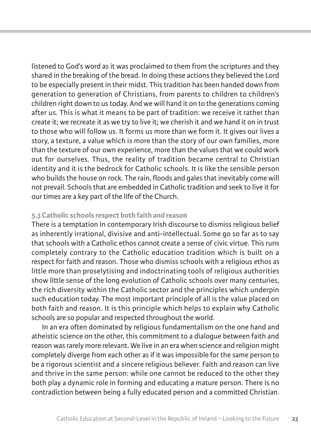listened to god's word as it was proclaimed to them from the scriptures and they shared in the breaking of the bread. in doing these actions they believed the lord to be especially present in their midst. This tradition has been handed down from generation to generation of Christians, from parents to children to children's children right down to us today. And we will hand it on to the generations coming after us. This is what it means to be part of tradition: we receive it rather than create it; we recreate it as we try to live it; we cherish it and we hand it on in trust to those who will follow us. it forms us more than we form it. it gives our lives a story, a texture, a value which is more than the story of our own families, more than the texture of our own experience, more than the values that we could work out for ourselves. Thus, the reality of tradition became central to Christian identity and it is the bedrock for Catholic schools. it is like the sensible person who builds the house on rock. The rain, floods and gales that inevitably come will not prevail. Schools that are embedded in Catholic tradition and seek to live it for our times are a key part of the life of the Church.

#### **5.3 Catholic schools respect both faith and reason**

There is a temptation in contemporary Irish discourse to dismiss religious belief as inherently irrational, divisive and anti-intellectual. Some go so far as to say that schools with a Catholic ethos cannot create a sense of civic virtue. this runs completely contrary to the Catholic education tradition which is built on a respect for faith and reason. Those who dismiss schools with a religious ethos as little more than proselytising and indoctrinating tools of religious authorities show little sense of the long evolution of Catholic schools over many centuries, the rich diversity within the Catholic sector and the principles which underpin such education today. The most important principle of all is the value placed on both faith and reason. it is this principle which helps to explain why Catholic schools are so popular and respected throughout the world.

in an era often dominated by religious fundamentalism on the one hand and atheistic science on the other, this commitment to a dialogue between faith and reason was rarely more relevant. We live in an era when science and religion might completely diverge from each other as if it was impossible for the same person to be a rigorous scientist and a sincere religious believer. faith and reason can live and thrive in the same person: while one cannot be reduced to the other they both play a dynamic role in forming and educating a mature person. There is no contradiction between being a fully educated person and a committed Christian.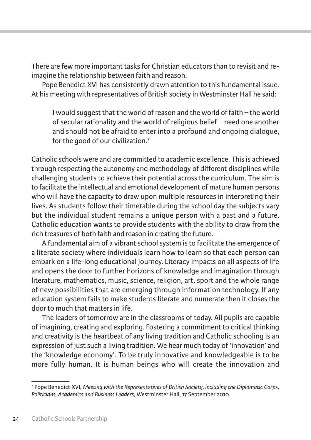There are few more important tasks for Christian educators than to revisit and reimagine the relationship between faith and reason.

Pope Benedict XVI has consistently drawn attention to this fundamental issue. at his meeting with representatives of british society in Westminster hall he said:

i would suggest that the world of reason and the world of faith – the world of secular rationality and the world of religious belief – need one another and should not be afraid to enter into a profound and ongoing dialogue, for the good of our civilization.<sup>7</sup>

Catholic schools were and are committed to academic excellence. this is achieved through respecting the autonomy and methodology of different disciplines while challenging students to achieve their potential across the curriculum. the aim is to facilitate the intellectual and emotional development of mature human persons who will have the capacity to draw upon multiple resources in interpreting their lives. As students follow their timetable during the school day the subjects vary but the individual student remains a unique person with a past and a future. Catholic education wants to provide students with the ability to draw from the rich treasures of both faith and reason in creating the future.

a fundamental aim of a vibrant school system is to facilitate the emergence of a literate society where individuals learn how to learn so that each person can embark on a life-long educational journey. literacy impacts on all aspects of life and opens the door to further horizons of knowledge and imagination through literature, mathematics, music, science, religion, art, sport and the whole range of new possibilities that are emerging through information technology. if any education system fails to make students literate and numerate then it closes the door to much that matters in life.

The leaders of tomorrow are in the classrooms of today. All pupils are capable of imagining, creating and exploring. fostering a commitment to critical thinking and creativity is the heartbeat of any living tradition and Catholic schooling is an expression of just such a living tradition. We hear much today of 'innovation' and the 'knowledge economy'. To be truly innovative and knowledgeable is to be more fully human. it is human beings who will create the innovation and

<sup>7</sup> Pope benedict Xvi, *Meeting with the Representatives of British Society, including the Diplomatic Corps, Politicians, Academics and Business Leaders*, Westminster hall, 17 September 2010.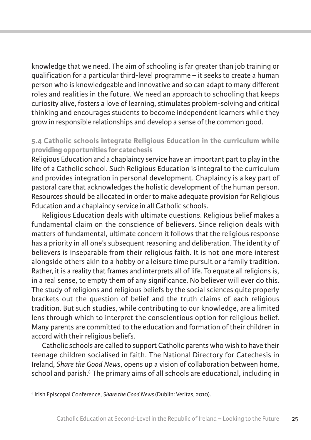knowledge that we need. the aim of schooling is far greater than job training or qualification for a particular third-level programme – it seeks to create a human person who is knowledgeable and innovative and so can adapt to many different roles and realities in the future. We need an approach to schooling that keeps curiosity alive, fosters a love of learning, stimulates problem-solving and critical thinking and encourages students to become independent learners while they grow in responsible relationships and develop a sense of the common good.

## **5.4 Catholic schools integrate Religious Education in the curriculum while providing opportunities for catechesis**

religious education and a chaplaincy service have an important part to play in the life of a Catholic school. Such Religious Education is integral to the curriculum and provides integration in personal development. Chaplaincy is a key part of pastoral care that acknowledges the holistic development of the human person. Resources should be allocated in order to make adequate provision for Religious education and a chaplaincy service in all Catholic schools.

Religious Education deals with ultimate questions. Religious belief makes a fundamental claim on the conscience of believers. Since religion deals with matters of fundamental, ultimate concern it follows that the religious response has a priority in all one's subsequent reasoning and deliberation. The identity of believers is inseparable from their religious faith. it is not one more interest alongside others akin to a hobby or a leisure time pursuit or a family tradition. Rather, it is a reality that frames and interprets all of life. To equate all religions is, in a real sense, to empty them of any significance. No believer will ever do this. the study of religions and religious beliefs by the social sciences quite properly brackets out the question of belief and the truth claims of each religious tradition. but such studies, while contributing to our knowledge, are a limited lens through which to interpret the conscientious option for religious belief. Many parents are committed to the education and formation of their children in accord with their religious beliefs.

Catholic schools are called to support Catholic parents who wish to have their teenage children socialised in faith. The National Directory for Catechesis in ireland, *Share the Good News*, opens up a vision of collaboration between home, school and parish.<sup>8</sup> The primary aims of all schools are educational, including in

<sup>&</sup>lt;sup>8</sup> Irish Episcopal Conference, *Share the Good News* (Dublin: Veritas, 2010).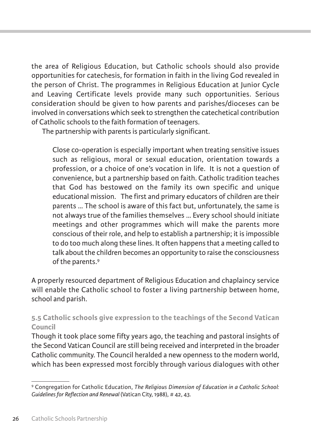the area of religious education, but Catholic schools should also provide opportunities for catechesis, for formation in faith in the living God revealed in the person of Christ. The programmes in Religious Education at Junior Cycle and leaving Certificate levels provide many such opportunities. Serious consideration should be given to how parents and parishes/dioceses can be involved in conversations which seek to strengthen the catechetical contribution of Catholic schools to the faith formation of teenagers.

The partnership with parents is particularly significant.

Close co-operation is especially important when treating sensitive issues such as religious, moral or sexual education, orientation towards a profession, or a choice of one's vocation in life. it is not a question of convenience, but a partnership based on faith. Catholic tradition teaches that god has bestowed on the family its own specific and unique educational mission. The first and primary educators of children are their parents ... The school is aware of this fact but, unfortunately, the same is not always true of the families themselves ... Every school should initiate meetings and other programmes which will make the parents more conscious of their role, and help to establish a partnership; it is impossible to do too much along these lines. it often happens that a meeting called to talk about the children becomes an opportunity to raise the consciousness of the parents.9

A properly resourced department of Religious Education and chaplaincy service will enable the Catholic school to foster a living partnership between home, school and parish.

## **5.5 Catholic schools give expression to the teachings of the Second Vatican Council**

Though it took place some fifty years ago, the teaching and pastoral insights of the Second vatican Council are still being received and interpreted in the broader Catholic community. The Council heralded a new openness to the modern world, which has been expressed most forcibly through various dialogues with other

<sup>9</sup> Congregation for Catholic education, *The Religious Dimension of Education in a Catholic School: Guidelines for Reflection and Renewal* (vatican City, 1988), # 42, 43.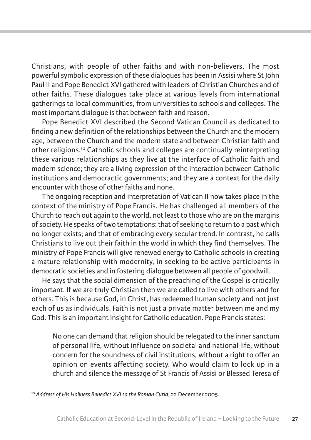Christians, with people of other faiths and with non-believers. the most powerful symbolic expression of these dialogues has been in assisi where St John Paul II and Pope Benedict XVI gathered with leaders of Christian Churches and of other faiths. These dialogues take place at various levels from international gatherings to local communities, from universities to schools and colleges. the most important dialogue is that between faith and reason.

Pope benedict Xvi described the Second vatican Council as dedicated to finding a new definition of the relationships between the Church and the modern age, between the Church and the modern state and between Christian faith and other religions.10 Catholic schools and colleges are continually reinterpreting these various relationships as they live at the interface of Catholic faith and modern science; they are a living expression of the interaction between Catholic institutions and democractic governments; and they are a context for the daily encounter with those of other faiths and none.

The ongoing reception and interpretation of Vatican II now takes place in the context of the ministry of Pope francis. he has challenged all members of the Church to reach out again to the world, not least to those who are on the margins of society. he speaks of two temptations: that of seeking to return to a past which no longer exists; and that of embracing every secular trend. in contrast, he calls Christians to live out their faith in the world in which they find themselves. the ministry of Pope francis will give renewed energy to Catholic schools in creating a mature relationship with modernity, in seeking to be active participants in democratic societies and in fostering dialogue between all people of goodwill.

He says that the social dimension of the preaching of the Gospel is critically important. if we are truly Christian then we are called to live with others and for others. This is because God, in Christ, has redeemed human society and not just each of us as individuals. faith is not just a private matter between me and my God. This is an important insight for Catholic education. Pope Francis states:

no one can demand that religion should be relegated to the inner sanctum of personal life, without influence on societal and national life, without concern for the soundness of civil institutions, without a right to offer an opinion on events affecting society. Who would claim to lock up in a church and silence the message of St Francis of Assisi or Blessed Teresa of

<sup>&</sup>lt;sup>10</sup> Address of His Holiness Benedict XVI to the Roman Curia, 22 December 2005.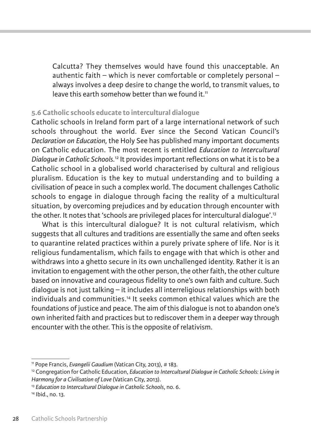Calcutta? They themselves would have found this unacceptable. An authentic faith – which is never comfortable or completely personal – always involves a deep desire to change the world, to transmit values, to leave this earth somehow better than we found it.<sup>11</sup>

#### **5.6 Catholic schools educate to intercultural dialogue**

Catholic schools in ireland form part of a large international network of such schools throughout the world. ever since the Second vatican Council's *Declaration on Education,* the holy See has published many important documents on Catholic education. the most recent is entitled *Education to Intercultural Dialogue in Catholic Schools.*<sup>12</sup> it provides important reflections on what it is to be a Catholic school in a globalised world characterised by cultural and religious pluralism. education is the key to mutual understanding and to building a civilisation of peace in such a complex world. The document challenges Catholic schools to engage in dialogue through facing the reality of a multicultural situation, by overcoming prejudices and by education through encounter with the other. It notes that 'schools are privileged places for intercultural dialogue'.<sup>13</sup>

What is this intercultural dialogue? it is not cultural relativism, which suggests that all cultures and traditions are essentially the same and often seeks to quarantine related practices within a purely private sphere of life. nor is it religious fundamentalism, which fails to engage with that which is other and withdraws into a ghetto secure in its own unchallenged identity. Rather it is an invitation to engagement with the other person, the other faith, the other culture based on innovative and courageous fidelity to one's own faith and culture. Such  $diabque$  is not just talking – it includes all interreligious relationships with both individuals and communities.14 it seeks common ethical values which are the foundations of justice and peace. the aim of this dialogue is not to abandon one's own inherited faith and practices but to rediscover them in a deeper way through encounter with the other. This is the opposite of relativism.

<sup>&</sup>lt;sup>11</sup> Pope Francis, *Evangelii Gaudium (Vatican City, 2013), # 183.*<br><sup>12</sup> Congregation for Catholic Education, *Education to Intercultural Dialogue in Catholic Schools: Living in Harmony for a Civilisation of Love* (vatican City, 2013).

<sup>&</sup>lt;sup>13</sup> Education to Intercultural Dialogue in Catholic Schools, no. 6.<br><sup>14</sup> Ibid., no. 13.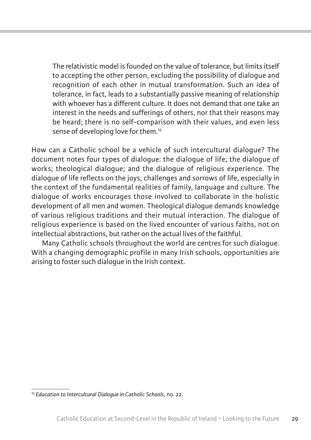the relativistic model is founded on the value of tolerance, but limits itself to accepting the other person, excluding the possibility of dialogue and recognition of each other in mutual transformation. Such an idea of tolerance, in fact, leads to a substantially passive meaning of relationship with whoever has a different culture. it does not demand that one take an interest in the needs and sufferings of others, nor that their reasons may be heard; there is no self-comparison with their values, and even less sense of developing love for them.<sup>15</sup>

how can a Catholic school be a vehicle of such intercultural dialogue? the document notes four types of dialogue: the dialogue of life; the dialogue of works; theological dialogue; and the dialogue of religious experience. The dialogue of life reflects on the joys, challenges and sorrows of life, especially in the context of the fundamental realities of family, language and culture. The dialogue of works encourages those involved to collaborate in the holistic development of all men and women. theological dialogue demands knowledge of various religious traditions and their mutual interaction. the dialogue of religious experience is based on the lived encounter of various faiths, not on intellectual abstractions, but rather on the actual lives of the faithful.

Many Catholic schools throughout the world are centres for such dialogue. With a changing demographic profile in many irish schools, opportunities are arising to foster such dialogue in the irish context.

<sup>15</sup> *Education to Intercultural Dialogue in Catholic Schools*, no. 22.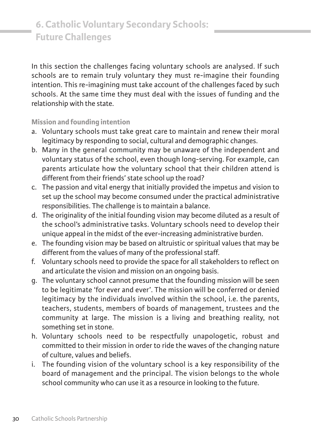in this section the challenges facing voluntary schools are analysed. if such schools are to remain truly voluntary they must re-imagine their founding intention. This re-imagining must take account of the challenges faced by such schools. at the same time they must deal with the issues of funding and the relationship with the state.

**Mission and founding intention**

- a. voluntary schools must take great care to maintain and renew their moral legitimacy by responding to social, cultural and demographic changes.
- b. Many in the general community may be unaware of the independent and voluntary status of the school, even though long-serving. for example, can parents articulate how the voluntary school that their children attend is different from their friends' state school up the road?
- c. the passion and vital energy that initially provided the impetus and vision to set up the school may become consumed under the practical administrative responsibilities. The challenge is to maintain a balance.
- d. the originality of the initial founding vision may become diluted as a result of the school's administrative tasks. voluntary schools need to develop their unique appeal in the midst of the ever-increasing administrative burden.
- e. the founding vision may be based on altruistic or spiritual values that may be different from the values of many of the professional staff.
- f. voluntary schools need to provide the space for all stakeholders to reflect on and articulate the vision and mission on an ongoing basis.
- g. the voluntary school cannot presume that the founding mission will be seen to be legitimate 'for ever and ever'. The mission will be conferred or denied legitimacy by the individuals involved within the school, i.e. the parents, teachers, students, members of boards of management, trustees and the community at large. The mission is a living and breathing reality, not something set in stone.
- h. voluntary schools need to be respectfully unapologetic, robust and committed to their mission in order to ride the waves of the changing nature of culture, values and beliefs.
- i. The founding vision of the voluntary school is a key responsibility of the board of management and the principal. The vision belongs to the whole school community who can use it as a resource in looking to the future.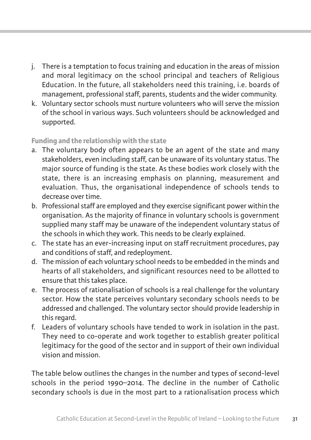- j. There is a temptation to focus training and education in the areas of mission and moral legitimacy on the school principal and teachers of Religious education. in the future, all stakeholders need this training, i.e. boards of management, professional staff, parents, students and the wider community.
- k. voluntary sector schools must nurture volunteers who will serve the mission of the school in various ways. Such volunteers should be acknowledged and supported.

### **Funding and the relationship with the state**

- a. The voluntary body often appears to be an agent of the state and many stakeholders, even including staff, can be unaware of its voluntary status. The major source of funding is the state. as these bodies work closely with the state, there is an increasing emphasis on planning, measurement and evaluation. Thus, the organisational independence of schools tends to decrease over time.
- b. Professional staff are employed and they exercise significant power within the organisation. as the majority of finance in voluntary schools is government supplied many staff may be unaware of the independent voluntary status of the schools in which they work. This needs to be clearly explained.
- c. the state has an ever-increasing input on staff recruitment procedures, pay and conditions of staff, and redeployment.
- d. the mission of each voluntary school needs to be embedded in the minds and hearts of all stakeholders, and significant resources need to be allotted to ensure that this takes place.
- e. the process of rationalisation of schools is a real challenge for the voluntary sector. how the state perceives voluntary secondary schools needs to be addressed and challenged. The voluntary sector should provide leadership in this regard.
- f. leaders of voluntary schools have tended to work in isolation in the past. They need to co-operate and work together to establish greater political legitimacy for the good of the sector and in support of their own individual vision and mission.

The table below outlines the changes in the number and types of second-level schools in the period 1990–2014. The decline in the number of Catholic secondary schools is due in the most part to a rationalisation process which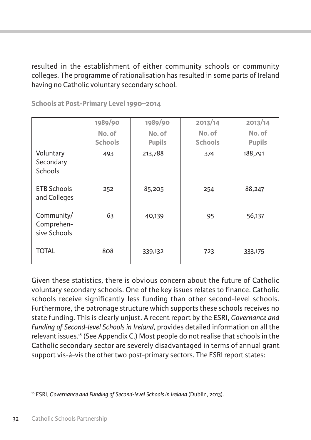resulted in the establishment of either community schools or community colleges. the programme of rationalisation has resulted in some parts of ireland having no Catholic voluntary secondary school.

|                                          | 1989/90                  | 1989/90                 | 2013/14                  | 2013/14                 |
|------------------------------------------|--------------------------|-------------------------|--------------------------|-------------------------|
|                                          | No. of<br><b>Schools</b> | No. of<br><b>Pupils</b> | No. of<br><b>Schools</b> | No. of<br><b>Pupils</b> |
| Voluntary<br>Secondary<br><b>Schools</b> | 493                      | 213,788                 | 374                      | 188,791                 |
| <b>ETB Schools</b><br>and Colleges       | 252                      | 85,205                  | 254                      | 88,247                  |
| Community/<br>Comprehen-<br>sive Schools | 63                       | 40,139                  | 95                       | 56,137                  |
| <b>TOTAL</b>                             | 808                      | 339,132                 | 723                      | 333,175                 |

**Schools at Post-Primary Level 1990–2014** 

given these statistics, there is obvious concern about the future of Catholic voluntary secondary schools. one of the key issues relates to finance. Catholic schools receive significantly less funding than other second-level schools. furthermore, the patronage structure which supports these schools receives no state funding. This is clearly unjust. A recent report by the ESRI, *Governance and Funding of Second-level Schools in Ireland*, provides detailed information on all the relevant issues.16 (See appendix C.) Most people do not realise that schools in the Catholic secondary sector are severely disadvantaged in terms of annual grant support vis-à-vis the other two post-primary sectors. The ESRI report states:

<sup>&</sup>lt;sup>16</sup> ESRI, *Governance and Funding of Second-level Schools in Ireland* (Dublin, 2013).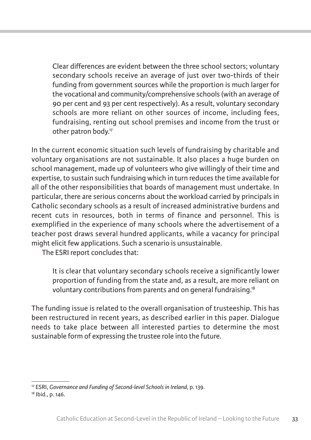Clear differences are evident between the three school sectors; voluntary secondary schools receive an average of just over two-thirds of their funding from government sources while the proportion is much larger for the vocational and community/comprehensive schools (with an average of 90 per cent and 93 per cent respectively). as a result, voluntary secondary schools are more reliant on other sources of income, including fees, fundraising, renting out school premises and income from the trust or other patron body.17

in the current economic situation such levels of fundraising by charitable and voluntary organisations are not sustainable. it also places a huge burden on school management, made up of volunteers who give willingly of their time and expertise, to sustain such fundraising which in turn reduces the time available for all of the other responsibilities that boards of management must undertake. in particular, there are serious concerns about the workload carried by principals in Catholic secondary schools as a result of increased administrative burdens and recent cuts in resources, both in terms of finance and personnel. This is exemplified in the experience of many schools where the advertisement of a teacher post draws several hundred applicants, while a vacancy for principal might elicit few applications. Such a scenario is unsustainable.

The ESRI report concludes that:

it is clear that voluntary secondary schools receive a significantly lower proportion of funding from the state and, as a result, are more reliant on voluntary contributions from parents and on general fundraising.18

The funding issue is related to the overall organisation of trusteeship. This has been restructured in recent years, as described earlier in this paper. Dialogue needs to take place between all interested parties to determine the most sustainable form of expressing the trustee role into the future.

<sup>&</sup>lt;sup>17</sup> ESRI, *Governance and Funding of Second-level Schools in Ireland*, p. 139.<br><sup>18</sup> Ibid., p. 146.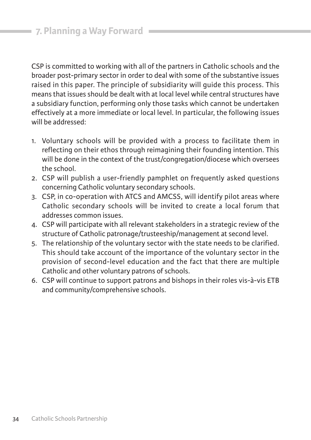CSP is committed to working with all of the partners in Catholic schools and the broader post-primary sector in order to deal with some of the substantive issues raised in this paper. The principle of subsidiarity will quide this process. This means that issues should be dealt with at local level while central structures have a subsidiary function, performing only those tasks which cannot be undertaken effectively at a more immediate or local level. in particular, the following issues will be addressed:

- 1. voluntary schools will be provided with a process to facilitate them in reflecting on their ethos through reimagining their founding intention. This will be done in the context of the trust/congregation/diocese which oversees the school.
- 2. CSP will publish a user-friendly pamphlet on frequently asked questions concerning Catholic voluntary secondary schools.
- 3. CSP, in co-operation with ATCS and AMCSS, will identify pilot areas where Catholic secondary schools will be invited to create a local forum that addresses common issues.
- 4. CSP will participate with all relevant stakeholders in a strategic review of the structure of Catholic patronage/trusteeship/management at second level.
- 5. the relationship of the voluntary sector with the state needs to be clarified. This should take account of the importance of the voluntary sector in the provision of second-level education and the fact that there are multiple Catholic and other voluntary patrons of schools.
- 6. CSP will continue to support patrons and bishops in their roles vis-à-vis ETB and community/comprehensive schools.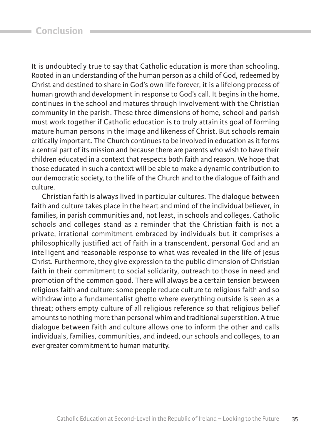it is undoubtedly true to say that Catholic education is more than schooling. Rooted in an understanding of the human person as a child of God, redeemed by Christ and destined to share in god's own life forever, it is a lifelong process of human growth and development in response to God's call. It begins in the home, continues in the school and matures through involvement with the Christian community in the parish. These three dimensions of home, school and parish must work together if Catholic education is to truly attain its goal of forming mature human persons in the image and likeness of Christ. but schools remain critically important. the Church continues to be involved in education as it forms a central part of its mission and because there are parents who wish to have their children educated in a context that respects both faith and reason. We hope that those educated in such a context will be able to make a dynamic contribution to our democratic society, to the life of the Church and to the dialogue of faith and culture.

Christian faith is always lived in particular cultures. the dialogue between faith and culture takes place in the heart and mind of the individual believer, in families, in parish communities and, not least, in schools and colleges. Catholic schools and colleges stand as a reminder that the Christian faith is not a private, irrational commitment embraced by individuals but it comprises a philosophically justified act of faith in a transcendent, personal god and an intelligent and reasonable response to what was revealed in the life of Jesus Christ. furthermore, they give expression to the public dimension of Christian faith in their commitment to social solidarity, outreach to those in need and promotion of the common good. There will always be a certain tension between religious faith and culture: some people reduce culture to religious faith and so withdraw into a fundamentalist ghetto where everything outside is seen as a threat; others empty culture of all religious reference so that religious belief amounts to nothing more than personal whim and traditional superstition. A true dialogue between faith and culture allows one to inform the other and calls individuals, families, communities, and indeed, our schools and colleges, to an ever greater commitment to human maturity.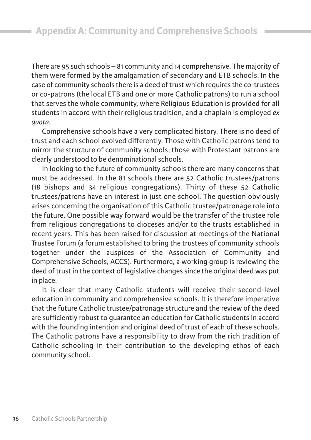There are 95 such schools  $-81$  community and 14 comprehensive. The majority of them were formed by the amalgamation of secondary and ETB schools. In the case of community schools there is a deed of trust which requires the co-trustees or co-patrons (the local ETB and one or more Catholic patrons) to run a school that serves the whole community, where Religious Education is provided for all students in accord with their religious tradition, and a chaplain is employed *ex quota*.

Comprehensive schools have a very complicated history. There is no deed of trust and each school evolved differently. those with Catholic patrons tend to mirror the structure of community schools; those with Protestant patrons are clearly understood to be denominational schools.

In looking to the future of community schools there are many concerns that must be addressed. in the 81 schools there are 52 Catholic trustees/patrons (18 bishops and 34 religious congregations). Thirty of these 52 Catholic trustees/patrons have an interest in just one school. The question obviously arises concerning the organisation of this Catholic trustee/patronage role into the future. One possible way forward would be the transfer of the trustee role from religious congregations to dioceses and/or to the trusts established in recent years. This has been raised for discussion at meetings of the National Trustee Forum (a forum established to bring the trustees of community schools together under the auspices of the association of Community and Comprehensive Schools, aCCS). furthermore, a working group is reviewing the deed of trust in the context of legislative changes since the original deed was put in place.

it is clear that many Catholic students will receive their second-level education in community and comprehensive schools. it is therefore imperative that the future Catholic trustee/patronage structure and the review of the deed are sufficiently robust to guarantee an education for Catholic students in accord with the founding intention and original deed of trust of each of these schools. The Catholic patrons have a responsibility to draw from the rich tradition of Catholic schooling in their contribution to the developing ethos of each community school.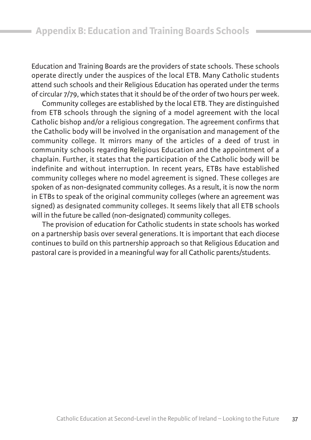education and training boards are the providers of state schools. these schools operate directly under the auspices of the local ETB. Many Catholic students attend such schools and their religious education has operated under the terms of circular 7/79, which states that it should be of the order of two hours per week.

Community colleges are established by the local ETB. They are distinguished from ETB schools through the signing of a model agreement with the local Catholic bishop and/or a religious congregation. The agreement confirms that the Catholic body will be involved in the organisation and management of the community college. it mirrors many of the articles of a deed of trust in community schools regarding Religious Education and the appointment of a chaplain. further, it states that the participation of the Catholic body will be indefinite and without interruption. In recent years, ETBs have established community colleges where no model agreement is signed. These colleges are spoken of as non-designated community colleges. As a result, it is now the norm in ETBs to speak of the original community colleges (where an agreement was signed) as designated community colleges. It seems likely that all ETB schools will in the future be called (non-designated) community colleges.

the provision of education for Catholic students in state schools has worked on a partnership basis over several generations. it is important that each diocese continues to build on this partnership approach so that Religious Education and pastoral care is provided in a meaningful way for all Catholic parents/students.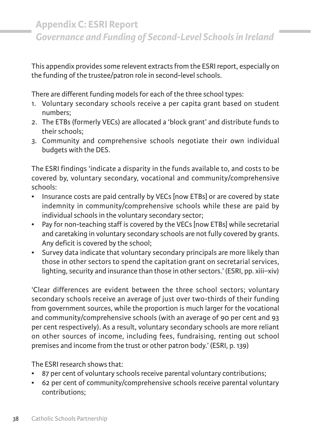This appendix provides some relevent extracts from the ESRI report, especially on the funding of the trustee/patron role in second-level schools.

There are different funding models for each of the three school types:

- 1. voluntary secondary schools receive a per capita grant based on student numbers;
- 2. The ETBs (formerly VECs) are allocated a 'block grant' and distribute funds to their schools;
- 3. Community and comprehensive schools negotiate their own individual budgets with the DES.

The ESRI findings 'indicate a disparity in the funds available to, and costs to be covered by, voluntary secondary, vocational and community/comprehensive schools:

- Insurance costs are paid centrally by VECs [now ETBs] or are covered by state indemnity in community/comprehensive schools while these are paid by individual schools in the voluntary secondary sector;
- Pay for non-teaching staff is covered by the VECs [now ETBs] while secretarial and caretaking in voluntary secondary schools are not fully covered by grants. any deficit is covered by the school;
- Survey data indicate that voluntary secondary principals are more likely than those in other sectors to spend the capitation grant on secretarial services, lighting, security and insurance than those in other sectors.' (ESRI, pp. xiii–xiv)

'Clear differences are evident between the three school sectors; voluntary secondary schools receive an average of just over two-thirds of their funding from government sources, while the proportion is much larger for the vocational and community/comprehensive schools (with an average of 90 per cent and 93 per cent respectively). As a result, voluntary secondary schools are more reliant on other sources of income, including fees, fundraising, renting out school premises and income from the trust or other patron body.' (ESRI, p. 139)

The ESRI research shows that:

- 87 per cent of voluntary schools receive parental voluntary contributions;
- 62 per cent of community/comprehensive schools receive parental voluntary contributions;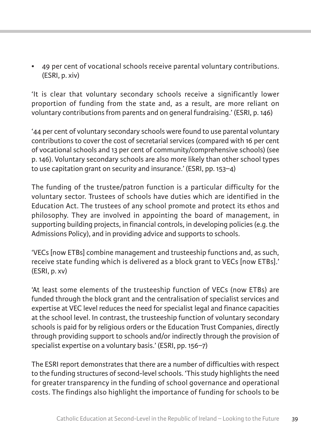• 49 per cent of vocational schools receive parental voluntary contributions. (eSri, p. xiv)

'it is clear that voluntary secondary schools receive a significantly lower proportion of funding from the state and, as a result, are more reliant on voluntary contributions from parents and on general fundraising.' (ESRI, p. 146)

'44 per cent of voluntary secondary schools were found to use parental voluntary contributions to cover the cost of secretarial services (compared with 16 per cent of vocational schools and 13 per cent of community/comprehensive schools) (see p. 146). voluntary secondary schools are also more likely than other school types to use capitation grant on security and insurance.' (ESRI, pp.  $153-4$ )

The funding of the trustee/patron function is a particular difficulty for the voluntary sector. Trustees of schools have duties which are identified in the Education Act. The trustees of any school promote and protect its ethos and philosophy. They are involved in appointing the board of management, in supporting building projects, in financial controls, in developing policies (e.g. the Admissions Policy), and in providing advice and supports to schools.

'VECs [now ETBs] combine management and trusteeship functions and, as such, receive state funding which is delivered as a block grant to VECs [now ETBs].'  $(ESRI, p. xv)$ 

'At least some elements of the trusteeship function of VECs (now ETBs) are funded through the block grant and the centralisation of specialist services and expertise at VEC level reduces the need for specialist legal and finance capacities at the school level. in contrast, the trusteeship function of voluntary secondary schools is paid for by religious orders or the Education Trust Companies, directly through providing support to schools and/or indirectly through the provision of specialist expertise on a voluntary basis.' (ESRI, pp. 156–7)

The ESRI report demonstrates that there are a number of difficulties with respect to the funding structures of second-level schools. 'This study highlights the need for greater transparency in the funding of school governance and operational costs. The findings also highlight the importance of funding for schools to be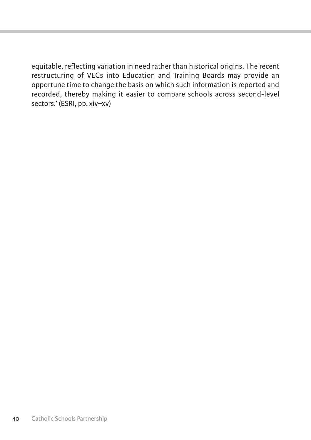equitable, reflecting variation in need rather than historical origins. The recent restructuring of VECs into Education and Training Boards may provide an opportune time to change the basis on which such information is reported and recorded, thereby making it easier to compare schools across second-level sectors.' (ESRI, pp. xiv-xv)